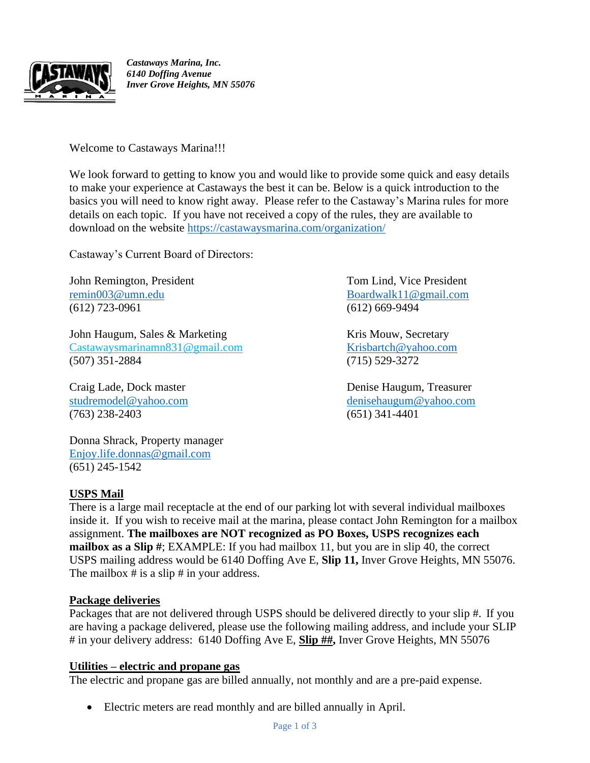

*Castaways Marina, Inc. 6140 Doffing Avenue Inver Grove Heights, MN 55076* 

Welcome to Castaways Marina!!!

We look forward to getting to know you and would like to provide some quick and easy details to make your experience at Castaways the best it can be. Below is a quick introduction to the basics you will need to know right away. Please refer to the Castaway's Marina rules for more details on each topic. If you have not received a copy of the rules, they are available to download on the website<https://castawaysmarina.com/organization/>

Castaway's Current Board of Directors:

John Remington, President Tom Lind, Vice President [remin003@umn.edu](file:///C:/Users/dhaugum/Dropbox/Castaways%20Board%20member%20files/FORMS/remin003@umn.edu) [Boardwalk11@gmail.com](file:///C:/Users/dhaugum/Dropbox/Castaways%20Board%20member%20files/FORMS/Boardwalk11@gmail.com) (612) 723-0961 (612) 669-9494

John Haugum, Sales & Marketing The Research Research Research Research Research Research Research Research Research Research Research Research Research Research Research Research Research Research Research Research Researc Castawaysmarinamn831@gmail.com [Krisb](mailto:Kris)artch@yahoo.com (507) 351-2884 (715) 529-3272

(763) 238-2403 (651) 341-4401

Donna Shrack, Property manager [Enjoy.life.donnas@gmail.com](mailto:Enjoy.life.donnas@gmail.com) (651) 245-1542

**USPS Mail**

There is a large mail receptacle at the end of our parking lot with several individual mailboxes inside it. If you wish to receive mail at the marina, please contact John Remington for a mailbox assignment. **The mailboxes are NOT recognized as PO Boxes, USPS recognizes each mailbox as a Slip #**; EXAMPLE: If you had mailbox 11, but you are in slip 40, the correct USPS mailing address would be 6140 Doffing Ave E, **Slip 11,** Inver Grove Heights, MN 55076. The mailbox # is a slip # in your address.

# **Package deliveries**

Packages that are not delivered through USPS should be delivered directly to your slip #. If you are having a package delivered, please use the following mailing address, and include your SLIP # in your delivery address: 6140 Doffing Ave E, **Slip ##,** Inver Grove Heights, MN 55076

# **Utilities – electric and propane gas**

The electric and propane gas are billed annually, not monthly and are a pre-paid expense.

• Electric meters are read monthly and are billed annually in April.

Craig Lade, Dock master Denise Haugum, Treasurer [studremodel@yahoo.com](mailto:studremodel@yahoo.com) [denisehaugum@yahoo.com](mailto:denisehaugum@yahoo.com)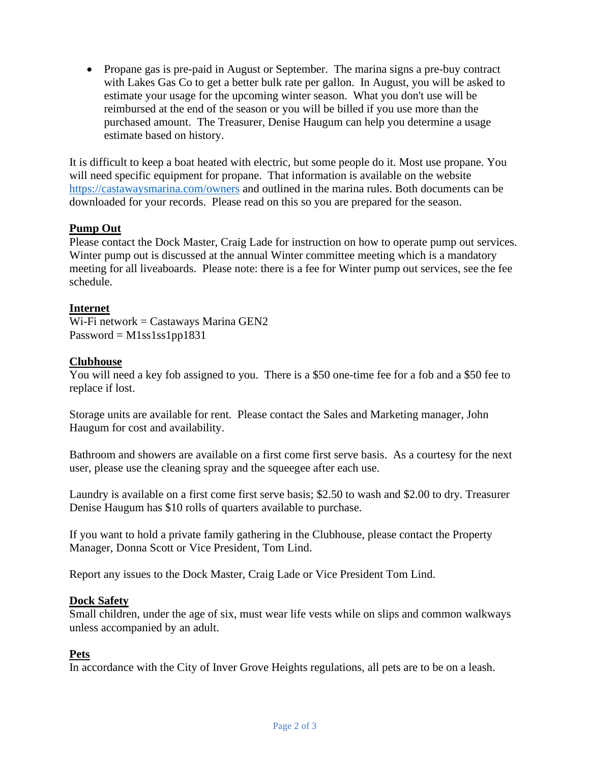• Propane gas is pre-paid in August or September. The marina signs a pre-buy contract with Lakes Gas Co to get a better bulk rate per gallon. In August, you will be asked to estimate your usage for the upcoming winter season. What you don't use will be reimbursed at the end of the season or you will be billed if you use more than the purchased amount. The Treasurer, Denise Haugum can help you determine a usage estimate based on history.

It is difficult to keep a boat heated with electric, but some people do it. Most use propane. You will need specific equipment for propane. That information is available on the website <https://castawaysmarina.com/owners> and outlined in the marina rules. Both documents can be downloaded for your records. Please read on this so you are prepared for the season.

## **Pump Out**

Please contact the Dock Master, Craig Lade for instruction on how to operate pump out services. Winter pump out is discussed at the annual Winter committee meeting which is a mandatory meeting for all liveaboards. Please note: there is a fee for Winter pump out services, see the fee schedule.

## **Internet**

Wi-Fi network = Castaways Marina GEN2  $Password = M1ss1ss1pp1831$ 

#### **Clubhouse**

You will need a key fob assigned to you. There is a \$50 one-time fee for a fob and a \$50 fee to replace if lost.

Storage units are available for rent. Please contact the Sales and Marketing manager, John Haugum for cost and availability.

Bathroom and showers are available on a first come first serve basis. As a courtesy for the next user, please use the cleaning spray and the squeegee after each use.

Laundry is available on a first come first serve basis; \$2.50 to wash and \$2.00 to dry. Treasurer Denise Haugum has \$10 rolls of quarters available to purchase.

If you want to hold a private family gathering in the Clubhouse, please contact the Property Manager, Donna Scott or Vice President, Tom Lind.

Report any issues to the Dock Master, Craig Lade or Vice President Tom Lind.

#### **Dock Safety**

Small children, under the age of six, must wear life vests while on slips and common walkways unless accompanied by an adult.

#### **Pets**

In accordance with the City of Inver Grove Heights regulations, all pets are to be on a leash.